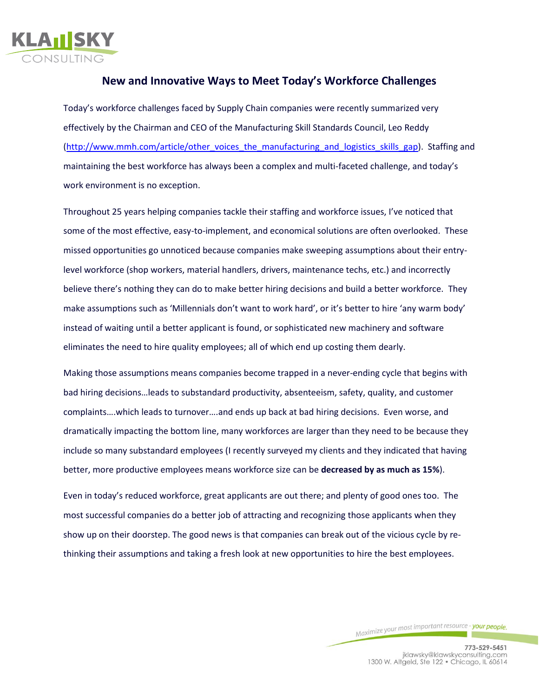

## **New and Innovative Ways to Meet Today's Workforce Challenges**

Today's workforce challenges faced by Supply Chain companies were recently summarized very effectively by the Chairman and CEO of th[e Manufacturing Skill Standards Council,](http://www.mmh.com/topic/tag/Manufacturing_Skill_Standards_Council) Leo Reddy [\(http://www.mmh.com/article/other\\_voices\\_the\\_manufacturing\\_and\\_logistics\\_skills\\_gap\)](http://www.mmh.com/article/other_voices_the_manufacturing_and_logistics_skills_gap). Staffing and maintaining the best workforce has always been a complex and multi-faceted challenge, and today's work environment is no exception.

Throughout 25 years helping companies tackle their staffing and workforce issues, I've noticed that some of the most effective, easy-to-implement, and economical solutions are often overlooked. These missed opportunities go unnoticed because companies make sweeping assumptions about their entrylevel workforce (shop workers, material handlers, drivers, maintenance techs, etc.) and incorrectly believe there's nothing they can do to make better hiring decisions and build a better workforce. They make assumptions such as 'Millennials don't want to work hard', or it's better to hire 'any warm body' instead of waiting until a better applicant is found, or sophisticated new machinery and software eliminates the need to hire quality employees; all of which end up costing them dearly.

Making those assumptions means companies become trapped in a never-ending cycle that begins with bad hiring decisions…leads to substandard productivity, absenteeism, safety, quality, and customer complaints….which leads to turnover….and ends up back at bad hiring decisions. Even worse, and dramatically impacting the bottom line, many workforces are larger than they need to be because they include so many substandard employees (I recently surveyed my clients and they indicated that having better, more productive employees means workforce size can be **decreased by as much as 15%**).

Even in today's reduced workforce, great applicants are out there; and plenty of good ones too. The most successful companies do a better job of attracting and recognizing those applicants when they show up on their doorstep. The good news is that companies can break out of the vicious cycle by rethinking their assumptions and taking a fresh look at new opportunities to hire the best employees.

Maximize your most important resource - your people.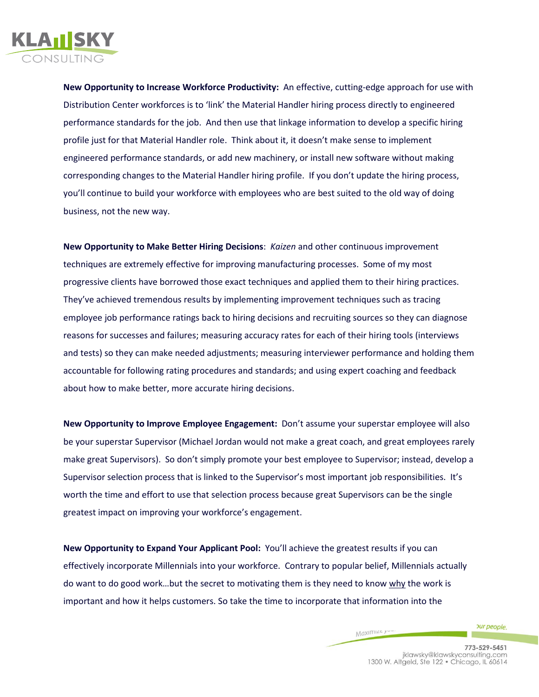

**New Opportunity to Increase Workforce Productivity:** An effective, cutting-edge approach for use with Distribution Center workforces is to 'link' the Material Handler hiring process directly to engineered performance standards for the job. And then use that linkage information to develop a specific hiring profile just for that Material Handler role. Think about it, it doesn't make sense to implement engineered performance standards, or add new machinery, or install new software without making corresponding changes to the Material Handler hiring profile. If you don't update the hiring process, you'll continue to build your workforce with employees who are best suited to the old way of doing business, not the new way.

**New Opportunity to Make Better Hiring Decisions**: *Kaizen* and other continuous improvement techniques are extremely effective for improving manufacturing processes. Some of my most progressive clients have borrowed those exact techniques and applied them to their hiring practices. They've achieved tremendous results by implementing improvement techniques such as tracing employee job performance ratings back to hiring decisions and recruiting sources so they can diagnose reasons for successes and failures; measuring accuracy rates for each of their hiring tools (interviews and tests) so they can make needed adjustments; measuring interviewer performance and holding them accountable for following rating procedures and standards; and using expert coaching and feedback about how to make better, more accurate hiring decisions.

**New Opportunity to Improve Employee Engagement:** Don't assume your superstar employee will also be your superstar Supervisor (Michael Jordan would not make a great coach, and great employees rarely make great Supervisors). So don't simply promote your best employee to Supervisor; instead, develop a Supervisor selection process that is linked to the Supervisor's most important job responsibilities. It's worth the time and effort to use that selection process because great Supervisors can be the single greatest impact on improving your workforce's engagement.

**New Opportunity to Expand Your Applicant Pool:** You'll achieve the greatest results if you can effectively incorporate Millennials into your workforce. Contrary to popular belief, Millennials actually do want to do good work…but the secret to motivating them is they need to know why the work is important and how it helps customers. So take the time to incorporate that information into the

Махіпи

pur people.